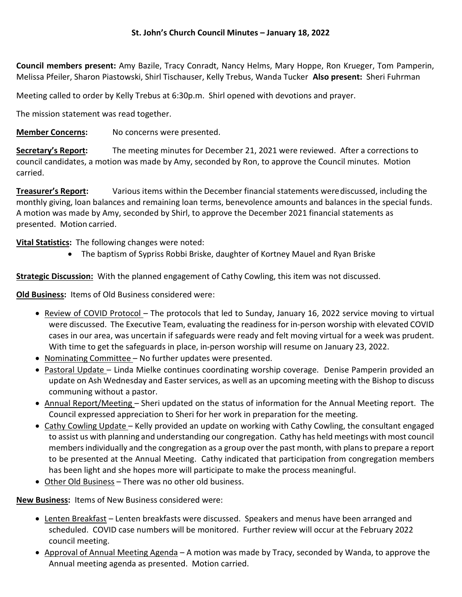## St. John's Church Council Minutes – January 18, 2022

Council members present: Amy Bazile, Tracy Conradt, Nancy Helms, Mary Hoppe, Ron Krueger, Tom Pamperin, Melissa Pfeiler, Sharon Piastowski, Shirl Tischauser, Kelly Trebus, Wanda Tucker Also present: Sheri Fuhrman

Meeting called to order by Kelly Trebus at 6:30p.m. Shirl opened with devotions and prayer.

The mission statement was read together.

**Member Concerns:** No concerns were presented.

Secretary's Report: The meeting minutes for December 21, 2021 were reviewed. After a corrections to council candidates, a motion was made by Amy, seconded by Ron, to approve the Council minutes. Motion carried.

**Treasurer's Report:** Various items within the December financial statements were discussed, including the monthly giving, loan balances and remaining loan terms, benevolence amounts and balances in the special funds. A motion was made by Amy, seconded by Shirl, to approve the December 2021 financial statements as presented. Motion carried.

Vital Statistics: The following changes were noted:

The baptism of Sypriss Robbi Briske, daughter of Kortney Mauel and Ryan Briske

**Strategic Discussion:** With the planned engagement of Cathy Cowling, this item was not discussed.

Old Business: Items of Old Business considered were:

- Review of COVID Protocol The protocols that led to Sunday, January 16, 2022 service moving to virtual were discussed. The Executive Team, evaluating the readiness for in-person worship with elevated COVID cases in our area, was uncertain if safeguards were ready and felt moving virtual for a week was prudent. With time to get the safeguards in place, in-person worship will resume on January 23, 2022.
- Nominating Committee No further updates were presented.
- Pastoral Update Linda Mielke continues coordinating worship coverage. Denise Pamperin provided an update on Ash Wednesday and Easter services, as well as an upcoming meeting with the Bishop to discuss communing without a pastor.
- Annual Report/Meeting Sheri updated on the status of information for the Annual Meeting report. The Council expressed appreciation to Sheri for her work in preparation for the meeting.
- Cathy Cowling Update Kelly provided an update on working with Cathy Cowling, the consultant engaged to assist us with planning and understanding our congregation. Cathy has held meetings with most council members individually and the congregation as a group over the past month, with plans to prepare a report to be presented at the Annual Meeting. Cathy indicated that participation from congregation members has been light and she hopes more will participate to make the process meaningful.
- Other Old Business There was no other old business.

New Business: Items of New Business considered were:

- Lenten Breakfast Lenten breakfasts were discussed. Speakers and menus have been arranged and scheduled. COVID case numbers will be monitored. Further review will occur at the February 2022 council meeting.
- Approval of Annual Meeting Agenda A motion was made by Tracy, seconded by Wanda, to approve the Annual meeting agenda as presented. Motion carried.